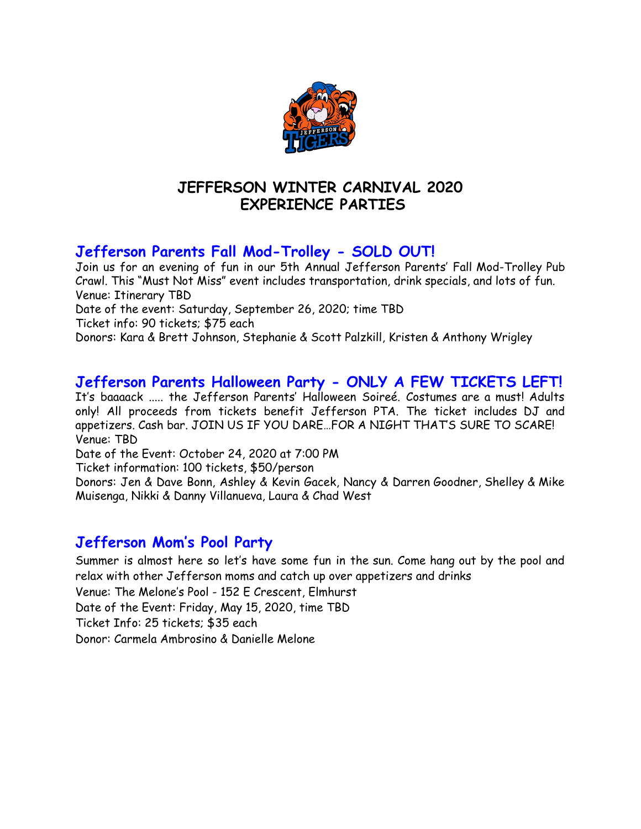

## **JEFFERSON WINTER CARNIVAL 2020 EXPERIENCE PARTIES**

# **Jefferson Parents Fall Mod-Trolley - SOLD OUT!**

Join us for an evening of fun in our 5th Annual Jefferson Parents' Fall Mod-Trolley Pub Crawl. This "Must Not Miss" event includes transportation, drink specials, and lots of fun. Venue: Itinerary TBD Date of the event: Saturday, September 26, 2020; time TBD Ticket info: 90 tickets; \$75 each Donors: Kara & Brett Johnson, Stephanie & Scott Palzkill, Kristen & Anthony Wrigley

## **Jefferson Parents Halloween Party - ONLY A FEW TICKETS LEFT!**

It's baaaack ..... the Jefferson Parents' Halloween Soireé. Costumes are a must! Adults only! All proceeds from tickets benefit Jefferson PTA. The ticket includes DJ and appetizers. Cash bar. JOIN US IF YOU DARE…FOR A NIGHT THAT'S SURE TO SCARE! Venue: TBD

Date of the Event: October 24, 2020 at 7:00 PM

Ticket information: 100 tickets, \$50/person

Donors: Jen & Dave Bonn, Ashley & Kevin Gacek, Nancy & Darren Goodner, Shelley & Mike Muisenga, Nikki & Danny Villanueva, Laura & Chad West

## **Jefferson Mom's Pool Party**

Summer is almost here so let's have some fun in the sun. Come hang out by the pool and relax with other Jefferson moms and catch up over appetizers and drinks Venue: The Melone's Pool - 152 E Crescent, Elmhurst Date of the Event: Friday, May 15, 2020, time TBD Ticket Info: 25 tickets; \$35 each Donor: Carmela Ambrosino & Danielle Melone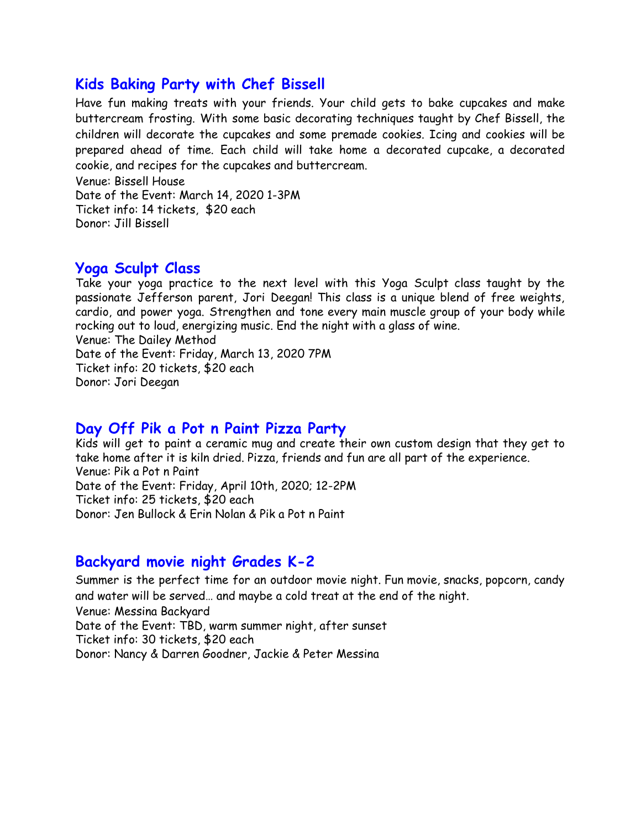### **Kids Baking Party with Chef Bissell**

Have fun making treats with your friends. Your child gets to bake cupcakes and make buttercream frosting. With some basic decorating techniques taught by Chef Bissell, the children will decorate the cupcakes and some premade cookies. Icing and cookies will be prepared ahead of time. Each child will take home a decorated cupcake, a decorated cookie, and recipes for the cupcakes and buttercream.

Venue: Bissell House Date of the Event: March 14, 2020 1-3PM Ticket info: 14 tickets, \$20 each Donor: Jill Bissell

## **Yoga Sculpt Class**

Take your yoga practice to the next level with this Yoga Sculpt class taught by the passionate Jefferson parent, Jori Deegan! This class is a unique blend of free weights, cardio, and power yoga. Strengthen and tone every main muscle group of your body while rocking out to loud, energizing music. End the night with a glass of wine. Venue: The Dailey Method Date of the Event: Friday, March 13, 2020 7PM Ticket info: 20 tickets, \$20 each Donor: Jori Deegan

#### **Day Off Pik a Pot n Paint Pizza Party**

Kids will get to paint a ceramic mug and create their own custom design that they get to take home after it is kiln dried. Pizza, friends and fun are all part of the experience. Venue: Pik a Pot n Paint Date of the Event: Friday, April 10th, 2020; 12-2PM Ticket info: 25 tickets, \$20 each Donor: Jen Bullock & Erin Nolan & Pik a Pot n Paint

## **Backyard movie night Grades K-2**

Summer is the perfect time for an outdoor movie night. Fun movie, snacks, popcorn, candy and water will be served… and maybe a cold treat at the end of the night. Venue: Messina Backyard Date of the Event: TBD, warm summer night, after sunset Ticket info: 30 tickets, \$20 each Donor: Nancy & Darren Goodner, Jackie & Peter Messina